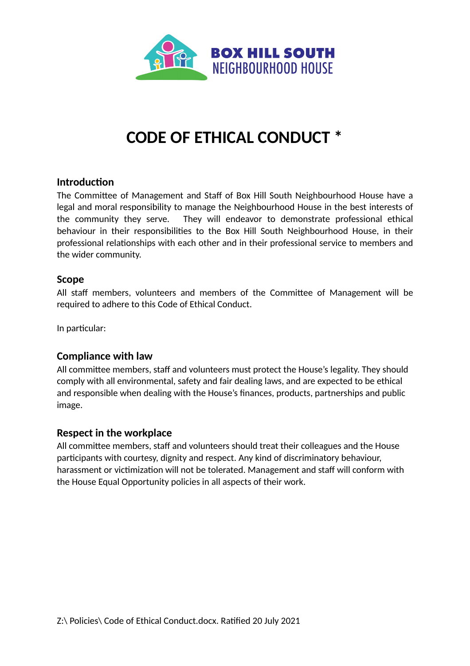

# **CODE OF ETHICAL CONDUCT \***

#### **Introduction**

The Committee of Management and Staff of Box Hill South Neighbourhood House have a legal and moral responsibility to manage the Neighbourhood House in the best interests of the community they serve. They will endeavor to demonstrate professional ethical behaviour in their responsibilities to the Box Hill South Neighbourhood House, in their professional relationships with each other and in their professional service to members and the wider community.

#### **Scope**

All staff members, volunteers and members of the Committee of Management will be required to adhere to this Code of Ethical Conduct.

In particular:

#### **Compliance with law**

All committee members, staff and volunteers must protect the House's legality. They should comply with all environmental, safety and fair dealing laws, and are expected to be ethical and responsible when dealing with the House's finances, products, partnerships and public image.

#### **Respect in the workplace**

All committee members, staff and volunteers should treat their colleagues and the House participants with courtesy, dignity and respect. Any kind of discriminatory behaviour, [harassment](https://resources.workable.com/workplace-harassment-company-policy) or victimization will not be tolerated. Management and staff will conform with the House [Equal Opportunity polici](https://resources.workable.com/equal-opportunity-company-policy)es in all aspects of their work.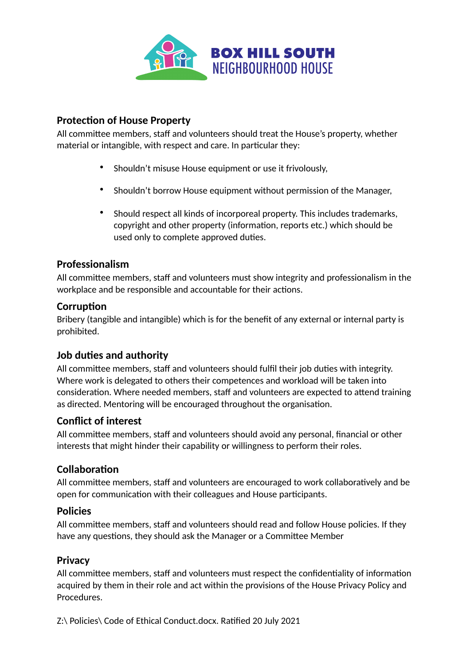

## **Protection of House Property**

All committee members, staff and volunteers should treat the House's property, whether material or intangible, with respect and care. In particular they:

- Shouldn't misuse House equipment or use it frivolously,
- Shouldn't borrow House equipment without permission of the Manager,
- Should respect all kinds of incorporeal property. This includes trademarks, copyright and other property (information, reports etc.) which should be used only to complete approved duties.

## **Professionalism**

All committee members, staff and volunteers must show [integrity](https://resources.workable.com/tutorial/employee-integrity-tests) and professionalism in the workplace and be responsible and accountable for their actions.

#### **Corruption**

Bribery (tangible and intangible) which is for the benefit of any external or internal party is prohibited.

## **Job duties and authority**

All committee members, staff and volunteers should fulfil their job duties with integrity. Where work is delegated to others their competences and workload will be taken into consideration. Where needed members, staff and volunteers are expected to attend training as directed. Mentoring will be encouraged throughout the organisation.

## **Conflict of interest**

All committee members, staff and volunteers should avoid any personal, financial or other interests that might hinder their capability or willingness to perform their roles.

# **Collaboration**

All committee members, staff and volunteers are encouraged to work collaboratively and be open for communication with their colleagues and House participants.

## **[Policies](https://resources.workable.com/company-policies)**

All committee members, staff and volunteers should read and follow House policies. If they have any questions, they should ask the Manager or a Committee Member

## **Privacy**

All committee members, staff and volunteers must respect the confidentiality of information acquired by them in their role and act within the provisions of the House Privacy Policy and Procedures.

Z:\ Policies\ Code of Ethical Conduct.docx. Ratified 20 July 2021